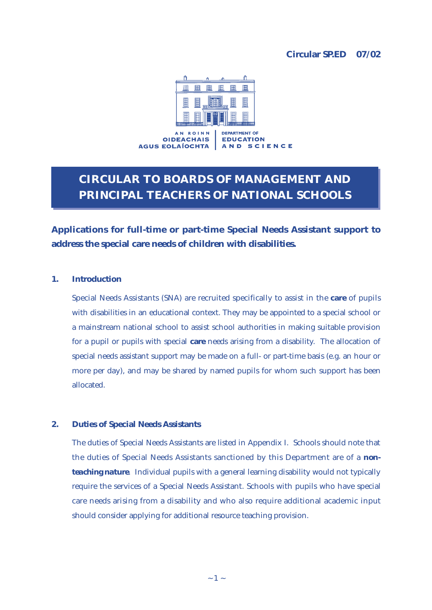### **Circular SP.ED 07/02**



# **CIRCULAR TO BOARDS OF MANAGEMENT AND PRINCIPAL TEACHERS OF NATIONAL SCHOOLS**

**Applications for full-time or part-time Special Needs Assistant support to address the special care needs of children with disabilities.** 

#### **1. Introduction**

Special Needs Assistants (SNA) are recruited specifically to assist in the **care** of pupils with disabilities in an educational context. They may be appointed to a special school or a mainstream national school to assist school authorities in making suitable provision for a pupil or pupils with special **care** needs arising from a disability. The allocation of special needs assistant support may be made on a full- or part-time basis (e.g. an hour or more per day), and may be shared by named pupils for whom such support has been allocated.

#### **2. Duties of Special Needs Assistants**

The duties of Special Needs Assistants are listed in Appendix I. Schools should note that the duties of Special Needs Assistants sanctioned by this Department are of a *nonteaching nature*. Individual pupils with a general learning disability would not typically require the services of a Special Needs Assistant. Schools with pupils who have special care needs arising from a disability and who also require additional academic input should consider applying for additional resource teaching provision.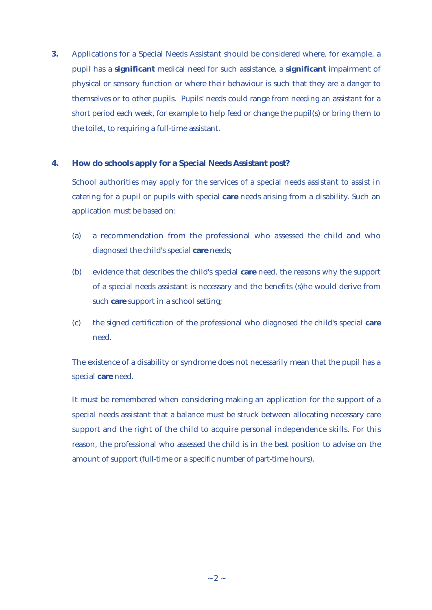**3.** Applications for a Special Needs Assistant should be considered where, for example, a pupil has a **significant** medical need for such assistance, a **significant** impairment of physical or sensory function or where their behaviour is such that they are a danger to themselves or to other pupils. Pupils' needs could range from needing an assistant for a short period each week, for example to help feed or change the pupil(s) or bring them to the toilet, to requiring a full-time assistant.

#### **4. How do schools apply for a Special Needs Assistant post?**

School authorities may apply for the services of a special needs assistant to assist in catering for a pupil or pupils with special **care** needs arising from a disability. Such an application must be based on:

- (a) a recommendation from the professional who assessed the child and who diagnosed the child's special **care** needs;
- (b) evidence that describes the child's special **care** need, the reasons why the support of a special needs assistant is necessary and the benefits (s)he would derive from such **care** support in a school setting;
- (c) the signed certification of the professional who diagnosed the child's special **care** need.

The existence of a disability or syndrome does not necessarily mean that the pupil has a special **care** need.

It must be remembered when considering making an application for the support of a special needs assistant that a balance must be struck between allocating necessary care support and the right of the child to acquire personal independence skills. For this reason, the professional who assessed the child is in the best position to advise on the amount of support (full-time or a specific number of part-time hours).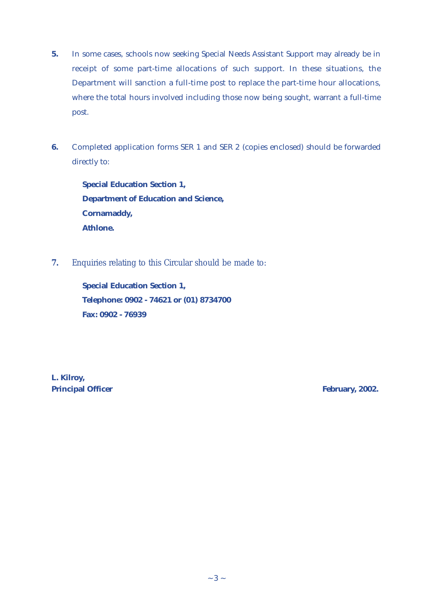- **5.** In some cases, schools now seeking Special Needs Assistant Support may already be in receipt of some part-time allocations of such support. In these situations, the Department will sanction a full-time post to replace the part-time hour allocations, where the total hours involved including those now being sought, warrant a full-time post.
- **6.** Completed application forms SER 1 and SER 2 (copies enclosed) should be forwarded directly to:

**Special Education Section 1, Department of Education and Science, Cornamaddy, Athlone.** 

**7.** Enquiries relating to this Circular should be made to:

**Special Education Section 1, Telephone: 0902 - 74621 or (01) 8734700 Fax: 0902 - 76939**

**L. Kilroy, Principal Officer February, 2002.**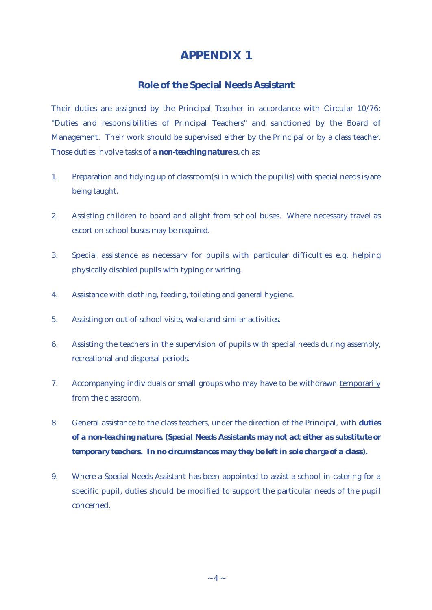## **APPENDIX 1**

### **Role of the Special Needs Assistant**

Their duties are assigned by the Principal Teacher in accordance with Circular 10/76: "Duties and responsibilities of Principal Teachers" and sanctioned by the Board of Management. Their work should be supervised either by the Principal or by a class teacher. Those duties involve tasks of a *non-teaching nature* such as:

- 1. Preparation and tidying up of classroom(s) in which the pupil(s) with special needs is/are being taught.
- 2. Assisting children to board and alight from school buses. Where necessary travel as escort on school buses may be required.
- 3. Special assistance as necessary for pupils with particular difficulties e.g. helping physically disabled pupils with typing or writing.
- 4. Assistance with clothing, feeding, toileting and general hygiene.
- 5. Assisting on out-of-school visits, walks and similar activities.
- 6. Assisting the teachers in the supervision of pupils with special needs during assembly, recreational and dispersal periods.
- 7. Accompanying individuals or small groups who may have to be withdrawn temporarily from the classroom.
- 8. General assistance to the class teachers, under the direction of the Principal, with *duties of a non-teaching nature. (Special Needs Assistants may not act either as substitute or temporary teachers. In no circumstances may they be left in sole charge of a class).*
- 9. Where a Special Needs Assistant has been appointed to assist a school in catering for a specific pupil, duties should be modified to support the particular needs of the pupil concerned.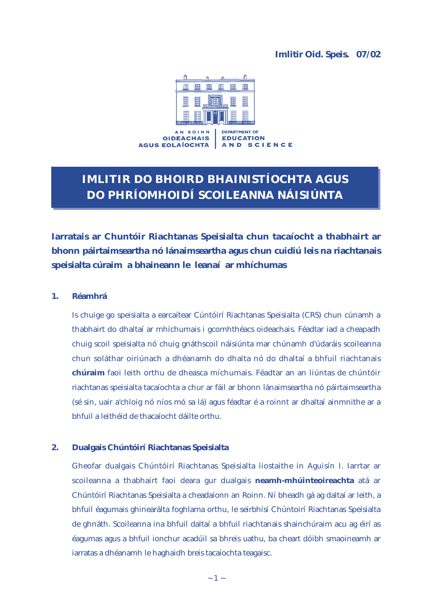#### **Imlitir Oid. Speis. 07/02**



# **IMLITIR DO BHOIRD BHAINISTÍOCHTA AGUS DO PHRÍOMHOIDÍ SCOILEANNA NÁISIÚNTA**

**Iarratais ar Chuntóir Riachtanas Speisialta chun tacaíocht a thabhairt ar bhonn páirtaimseartha nó lánaimseartha agus chun cuidiú leis na riachtanais speisialta cúraim a bhaineann le leanaí ar mhíchumas**

#### **1. Réamhrá**

Is chuige go speisialta a earcaítear Cúntóirí Riachtanas Speisialta (CRS) chun cúnamh a thabhairt do dhaltaí ar mhíchumais i gcomhthéacs oideachais. Féadtar iad a cheapadh chuig scoil speisialta nó chuig gnáthscoil náisiúnta mar chúnamh d'údaráis scoileanna chun soláthar oiriúnach a dhéanamh do dhalta nó do dhaltaí a bhfuil riachtanais **chúraim** faoi leith orthu de dheasca míchumais. Féadtar an an liúntas de chúntóir riachtanas speisialta tacaíochta a chur ar fáil ar bhonn lánaimseartha nó páirtaimseartha (sé sin, uair a'chloig nó níos mó sa lá) agus féadtar é a roinnt ar dhaltaí ainmnithe ar a bhfuil a leithéid de thacaíocht dáilte orthu.

#### **2. Dualgais Chúntóirí Riachtanas Speisialta**

Gheofar dualgais Chúntóirí Riachtanas Speisialta liostaithe in Aguisín I. Iarrtar ar scoileanna a thabhairt faoi deara gur dualgais **neamh-mhúinteoireachta** atá ar Chúntóirí Riachtanas Speisialta a cheadaíonn an Roinn. Ní bheadh gá ag daltaí ar leith, a bhfuil éagumais ghinearálta foghlama orthu, le seirbhísí Chúntoirí Riachtanas Speisialta de ghnáth. Scoileanna ina bhfuil daltaí a bhfuil riachtanais shainchúraim acu ag éirí as éagumas agus a bhfuil ionchur acadúil sa bhreis uathu, ba cheart dóibh smaoineamh ar iarratas a dhéanamh le haghaidh breis tacaíochta teagaisc.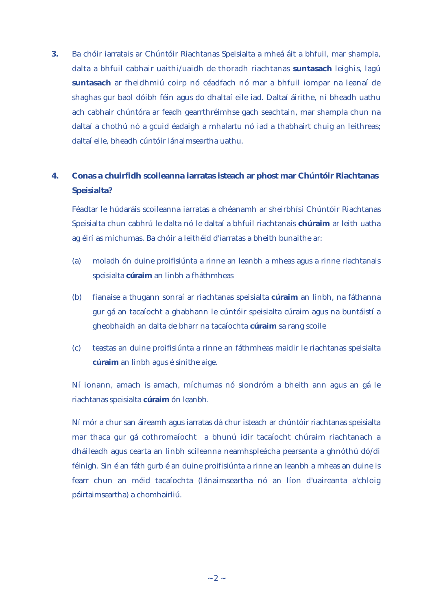**3.** Ba chóir iarratais ar Chúntóir Riachtanas Speisialta a mheá áit a bhfuil, mar shampla, dalta a bhfuil cabhair uaithi/uaidh de thoradh riachtanas **suntasach** leighis, lagú **suntasach** ar fheidhmiú coirp nó céadfach nó mar a bhfuil iompar na leanaí de shaghas gur baol dóibh féin agus do dhaltaí eile iad. Daltaí áirithe, ní bheadh uathu ach cabhair chúntóra ar feadh gearrthréimhse gach seachtain, mar shampla chun na daltaí a chothú nó a gcuid éadaigh a mhalartu nó iad a thabhairt chuig an leithreas; daltaí eile, bheadh cúntóir lánaimseartha uathu.

## **4. Conas a chuirfidh scoileanna iarratas isteach ar phost mar Chúntóir Riachtanas Speisialta?**

Féadtar le húdaráis scoileanna iarratas a dhéanamh ar sheirbhísí Chúntóir Riachtanas Speisialta chun cabhrú le dalta nó le daltaí a bhfuil riachtanais **chúraim** ar leith uatha ag éirí as míchumas. Ba chóir a leithéid d'iarratas a bheith bunaithe ar:

- (a) moladh ón duine proifisiúnta a rinne an leanbh a mheas agus a rinne riachtanais speisialta **cúraim** an linbh a fháthmheas
- (b) fianaise a thugann sonraí ar riachtanas speisialta **cúraim** an linbh, na fáthanna gur gá an tacaíocht a ghabhann le cúntóir speisialta cúraim agus na buntáistí a gheobhaidh an dalta de bharr na tacaíochta **cúraim** sa rang scoile
- (c) teastas an duine proifisiúnta a rinne an fáthmheas maidir le riachtanas speisialta **cúraim** an linbh agus é sínithe aige.

Ní ionann, amach is amach, míchumas nó siondróm a bheith ann agus an gá le riachtanas speisialta **cúraim** ón leanbh.

Ní mór a chur san áireamh agus iarratas dá chur isteach ar chúntóir riachtanas speisialta mar thaca gur gá cothromaíocht a bhunú idir tacaíocht chúraim riachtanach a dháileadh agus cearta an linbh scileanna neamhspleácha pearsanta a ghnóthú dó/di féinigh. Sin é an fáth gurb é an duine proifisiúnta a rinne an leanbh a mheas an duine is fearr chun an méid tacaíochta (lánaimseartha nó an líon d'uaireanta a'chloig páirtaimseartha) a chomhairliú.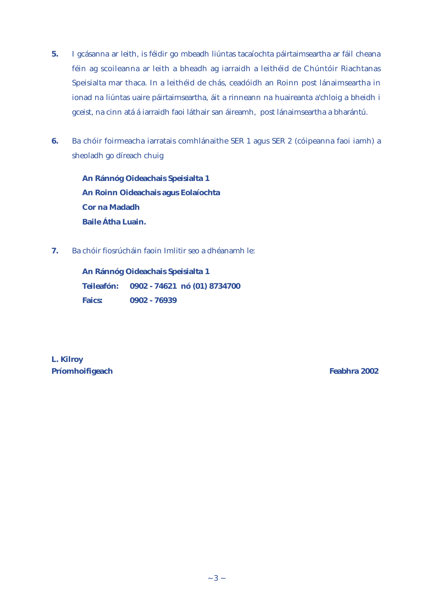- **5.** I gcásanna ar leith, is féidir go mbeadh liúntas tacaíochta páirtaimseartha ar fáil cheana féin ag scoileanna ar leith a bheadh ag iarraidh a leithéid de Chúntóir Riachtanas Speisialta mar thaca. In a leithéid de chás, ceadóidh an Roinn post lánaimseartha in ionad na liúntas uaire páirtaimseartha, áit a rinneann na huaireanta a'chloig a bheidh i gceist, na cinn atá á iarraidh faoi láthair san áireamh, post lánaimseartha a bharántú.
- **6.** Ba chóir foirmeacha iarratais comhlánaithe SER 1 agus SER 2 (cóipeanna faoi iamh) a sheoladh go díreach chuig

**An Ránnóg Oideachais Speisialta 1 An Roinn Oideachais agus Eolaíochta Cor na Madadh Baile Átha Luain.**

**7.** Ba chóir fiosrúcháin faoin Imlitir seo a dhéanamh le:

**An Ránnóg Oideachais Speisialta 1 Teileafón: 0902 - 74621 nó (01) 8734700 Faics: 0902 - 76939** 

**L. Kilroy Príomhoifigeach Feabhra 2002**